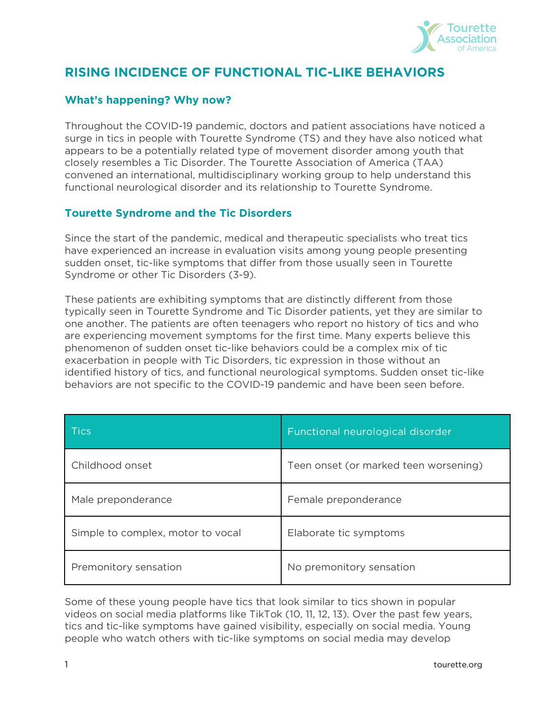

# **RISING INCIDENCE OF FUNCTIONAL TIC-LIKE BEHAVIORS**

# **What's happening? Why now?**

Throughout the COVID-19 pandemic, doctors and patient associations have noticed a surge in tics in people with Tourette Syndrome (TS) and they have also noticed what appears to be a potentially related type of movement disorder among youth that closely resembles a Tic Disorder. The Tourette Association of America (TAA) convened an international, multidisciplinary working group to help understand this functional neurological disorder and its relationship to Tourette Syndrome.

# **Tourette Syndrome and the Tic Disorders**

Since the start of the pandemic, medical and therapeutic specialists who treat tics have experienced an increase in evaluation visits among young people presenting sudden onset, tic-like symptoms that differ from those usually seen in Tourette Syndrome or other Tic Disorders (3-9).

These patients are exhibiting symptoms that are distinctly different from those typically seen in Tourette Syndrome and Tic Disorder patients, yet they are similar to one another. The patients are often teenagers who report no history of tics and who are experiencing movement symptoms for the first time. Many experts believe this phenomenon of sudden onset tic-like behaviors could be a complex mix of tic exacerbation in people with Tic Disorders, tic expression in those without an identified history of tics, and functional neurological symptoms. Sudden onset tic-like behaviors are not specific to the COVID-19 pandemic and have been seen before.

| <b>Tics</b>                       | Functional neurological disorder      |
|-----------------------------------|---------------------------------------|
| Childhood onset                   | Teen onset (or marked teen worsening) |
| Male preponderance                | Female preponderance                  |
| Simple to complex, motor to vocal | Elaborate tic symptoms                |
| Premonitory sensation             | No premonitory sensation              |

Some of these young people have tics that look similar to tics shown in popular videos on social media platforms like TikTok (10, 11, 12, 13). Over the past few years, tics and tic-like symptoms have gained visibility, especially on social media. Young people who watch others with tic-like symptoms on social media may develop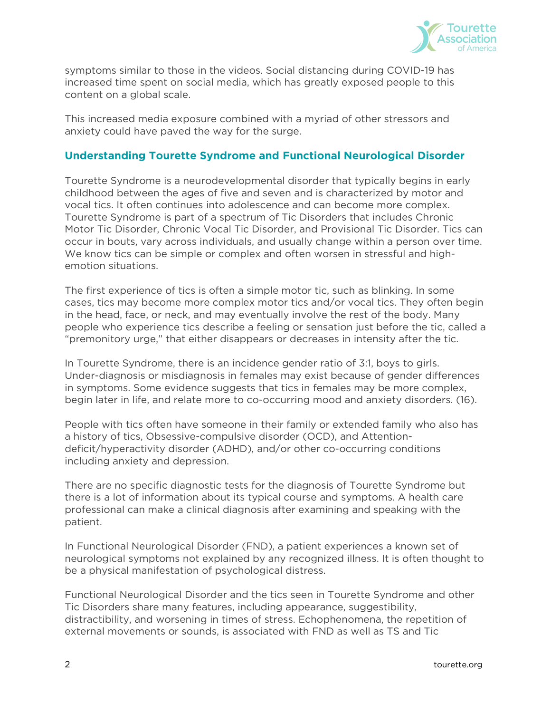

symptoms similar to those in the videos. Social distancing during COVID-19 has increased time spent on social media, which has greatly exposed people to this content on a global scale.

This increased media exposure combined with a myriad of other stressors and anxiety could have paved the way for the surge.

# **Understanding Tourette Syndrome and Functional Neurological Disorder**

Tourette Syndrome is a neurodevelopmental disorder that typically begins in early childhood between the ages of five and seven and is characterized by motor and vocal tics. It often continues into adolescence and can become more complex. Tourette Syndrome is part of a spectrum of Tic Disorders that includes Chronic Motor Tic Disorder, Chronic Vocal Tic Disorder, and Provisional Tic Disorder. Tics can occur in bouts, vary across individuals, and usually change within a person over time. We know tics can be simple or complex and often worsen in stressful and highemotion situations.

The first experience of tics is often a simple motor tic, such as blinking. In some cases, tics may become more complex motor tics and/or vocal tics. They often begin in the head, face, or neck, and may eventually involve the rest of the body. Many people who experience tics describe a feeling or sensation just before the tic, called a "premonitory urge," that either disappears or decreases in intensity after the tic.

In Tourette Syndrome, there is an incidence gender ratio of 3:1, boys to girls. Under-diagnosis or misdiagnosis in females may exist because of gender differences in symptoms. Some evidence suggests that tics in females may be more complex, begin later in life, and relate more to co-occurring mood and anxiety disorders. (16).

People with tics often have someone in their family or extended family who also has a history of tics, Obsessive-compulsive disorder (OCD), and Attentiondeficit/hyperactivity disorder (ADHD), and/or other co-occurring conditions including anxiety and depression.

There are no specific diagnostic tests for the diagnosis of Tourette Syndrome but there is a lot of information about its typical course and symptoms. A health care professional can make a clinical diagnosis after examining and speaking with the patient.

In Functional Neurological Disorder (FND), a patient experiences a known set of neurological symptoms not explained by any recognized illness. It is often thought to be a physical manifestation of psychological distress.

Functional Neurological Disorder and the tics seen in Tourette Syndrome and other Tic Disorders share many features, including appearance, suggestibility, distractibility, and worsening in times of stress. Echophenomena, the repetition of external movements or sounds, is associated with FND as well as TS and Tic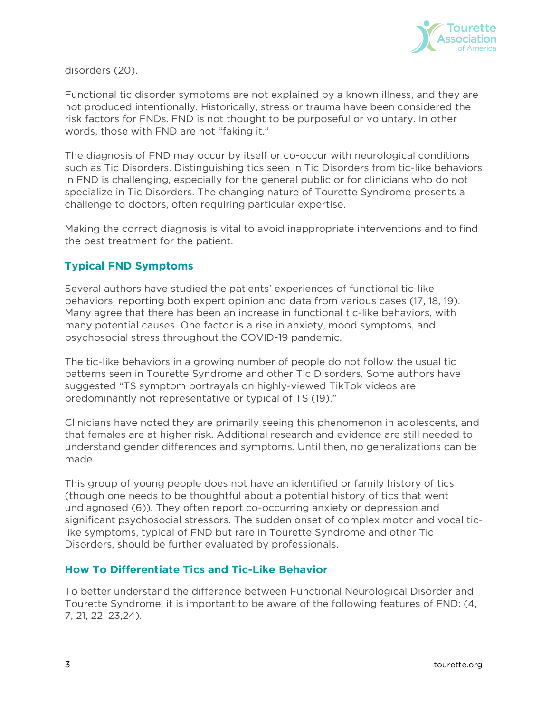

disorders (20).

Functional tic disorder symptoms are not explained by a known illness, and they are not produced intentionally. Historically, stress or trauma have been considered the risk factors for FNDs. FND is not thought to be purposeful or voluntary. In other words, those with FND are not "faking it."

The diagnosis of FND may occur by itself or co-occur with neurological conditions such as Tic Disorders. Distinguishing tics seen in Tic Disorders from tic-like behaviors in FND is challenging, especially for the general public or for clinicians who do not specialize in Tic Disorders. The changing nature of Tourette Syndrome presents a challenge to doctors, often requiring particular expertise.

Making the correct diagnosis is vital to avoid inappropriate interventions and to find the best treatment for the patient.

# **Typical FND Symptoms**

Several authors have studied the patients' experiences of functional tic-like behaviors, reporting both expert opinion and data from various cases (17, 18, 19). Many agree that there has been an increase in functional tic-like behaviors, with many potential causes. One factor is a rise in anxiety, mood symptoms, and psychosocial stress throughout the COVID-19 pandemic.

The tic-like behaviors in a growing number of people do not follow the usual tic patterns seen in Tourette Syndrome and other Tic Disorders. Some authors have suggested "TS symptom portrayals on highly-viewed TikTok videos are predominantly not representative or typical of TS (19)."

Clinicians have noted they are primarily seeing this phenomenon in adolescents, and that females are at higher risk. Additional research and evidence are still needed to understand gender differences and symptoms. Until then, no generalizations can be made.

This group of young people does not have an identified or family history of tics (though one needs to be thoughtful about a potential history of tics that went undiagnosed (6)). They often report co-occurring anxiety or depression and significant psychosocial stressors. The sudden onset of complex motor and vocal ticlike symptoms, typical of FND but rare in Tourette Syndrome and other Tic Disorders, should be further evaluated by professionals.

#### **How To Differentiate Tics and Tic-Like Behavior**

To better understand the difference between Functional Neurological Disorder and Tourette Syndrome, it is important to be aware of the following features of FND: (4, 7, 21, 22, 23,24).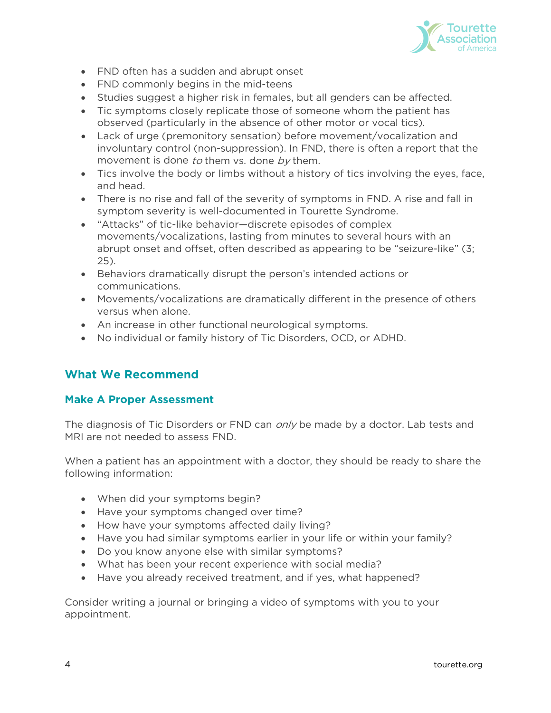

- FND often has a sudden and abrupt onset
- FND commonly begins in the mid-teens
- Studies suggest a higher risk in females, but all genders can be affected.
- Tic symptoms closely replicate those of someone whom the patient has observed (particularly in the absence of other motor or vocal tics).
- Lack of urge (premonitory sensation) before movement/vocalization and involuntary control (non-suppression). In FND, there is often a report that the movement is done to them vs. done by them.
- Tics involve the body or limbs without a history of tics involving the eyes, face, and head.
- There is no rise and fall of the severity of symptoms in FND. A rise and fall in symptom severity is well-documented in Tourette Syndrome.
- "Attacks" of tic-like behavior—discrete episodes of complex movements/vocalizations, lasting from minutes to several hours with an abrupt onset and offset, often described as appearing to be "seizure-like" (3; 25).
- Behaviors dramatically disrupt the person's intended actions or communications.
- Movements/vocalizations are dramatically different in the presence of others versus when alone.
- An increase in other functional neurological symptoms.
- No individual or family history of Tic Disorders, OCD, or ADHD.

# **What We Recommend**

#### **Make A Proper Assessment**

The diagnosis of Tic Disorders or FND can *only* be made by a doctor. Lab tests and MRI are not needed to assess FND.

When a patient has an appointment with a doctor, they should be ready to share the following information:

- When did your symptoms begin?
- Have your symptoms changed over time?
- How have your symptoms affected daily living?
- Have you had similar symptoms earlier in your life or within your family?
- Do you know anyone else with similar symptoms?
- What has been your recent experience with social media?
- Have you already received treatment, and if yes, what happened?

Consider writing a journal or bringing a video of symptoms with you to your appointment.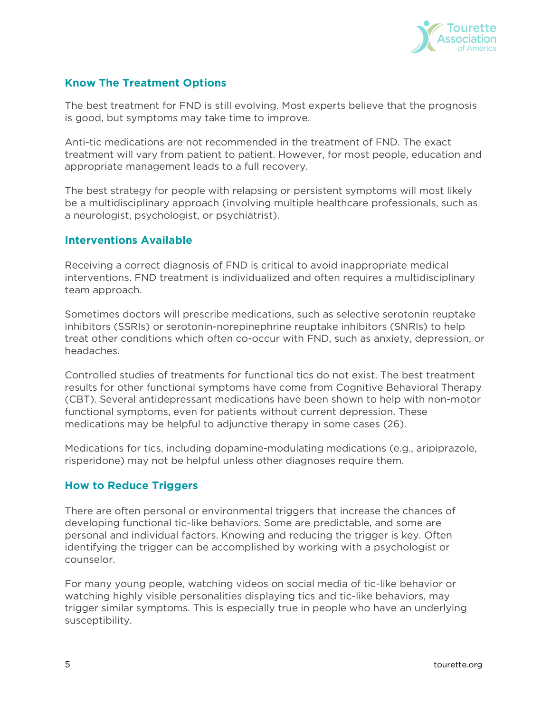

# **Know The Treatment Options**

The best treatment for FND is still evolving. Most experts believe that the prognosis is good, but symptoms may take time to improve.

Anti-tic medications are not recommended in the treatment of FND. The exact treatment will vary from patient to patient. However, for most people, education and appropriate management leads to a full recovery.

The best strategy for people with relapsing or persistent symptoms will most likely be a multidisciplinary approach (involving multiple healthcare professionals, such as a neurologist, psychologist, or psychiatrist).

#### **Interventions Available**

Receiving a correct diagnosis of FND is critical to avoid inappropriate medical interventions. FND treatment is individualized and often requires a multidisciplinary team approach.

Sometimes doctors will prescribe medications, such as selective serotonin reuptake inhibitors (SSRIs) or serotonin-norepinephrine reuptake inhibitors (SNRIs) to help treat other conditions which often co-occur with FND, such as anxiety, depression, or headaches.

Controlled studies of treatments for functional tics do not exist. The best treatment results for other functional symptoms have come from Cognitive Behavioral Therapy (CBT). Several antidepressant medications have been shown to help with non-motor functional symptoms, even for patients without current depression. These medications may be helpful to adjunctive therapy in some cases (26).

Medications for tics, including dopamine-modulating medications (e.g., aripiprazole, risperidone) may not be helpful unless other diagnoses require them.

#### **How to Reduce Triggers**

There are often personal or environmental triggers that increase the chances of developing functional tic-like behaviors. Some are predictable, and some are personal and individual factors. Knowing and reducing the trigger is key. Often identifying the trigger can be accomplished by working with a psychologist or counselor.

For many young people, watching videos on social media of tic-like behavior or watching highly visible personalities displaying tics and tic-like behaviors, may trigger similar symptoms. This is especially true in people who have an underlying susceptibility.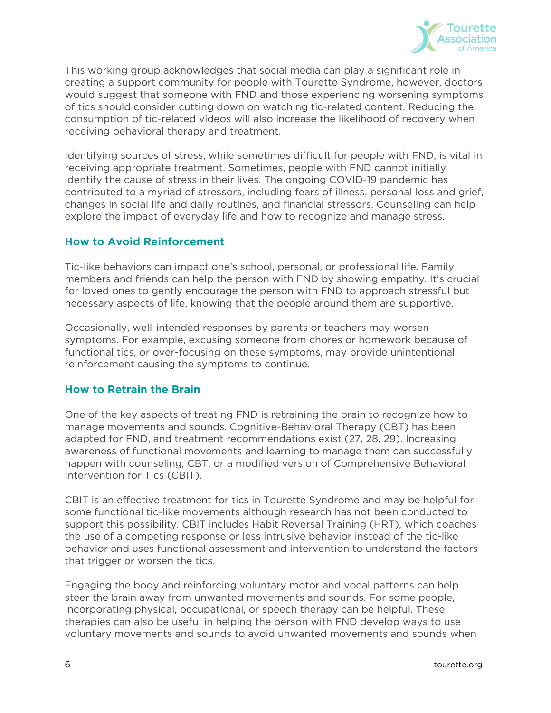

This working group acknowledges that social media can play a significant role in creating a support community for people with Tourette Syndrome, however, doctors would suggest that someone with FND and those experiencing worsening symptoms of tics should consider cutting down on watching tic-related content. Reducing the consumption of tic-related videos will also increase the likelihood of recovery when receiving behavioral therapy and treatment.

Identifying sources of stress, while sometimes difficult for people with FND, is vital in receiving appropriate treatment. Sometimes, people with FND cannot initially identify the cause of stress in their lives. The ongoing COVID-19 pandemic has contributed to a myriad of stressors, including fears of illness, personal loss and grief, changes in social life and daily routines, and financial stressors. Counseling can help explore the impact of everyday life and how to recognize and manage stress.

# **How to Avoid Reinforcement**

Tic-like behaviors can impact one's school, personal, or professional life. Family members and friends can help the person with FND by showing empathy. It's crucial for loved ones to gently encourage the person with FND to approach stressful but necessary aspects of life, knowing that the people around them are supportive.

Occasionally, well-intended responses by parents or teachers may worsen symptoms. For example, excusing someone from chores or homework because of functional tics, or over-focusing on these symptoms, may provide unintentional reinforcement causing the symptoms to continue.

#### **How to Retrain the Brain**

One of the key aspects of treating FND is retraining the brain to recognize how to manage movements and sounds. Cognitive-Behavioral Therapy (CBT) has been adapted for FND, and treatment recommendations exist (27, 28, 29). Increasing awareness of functional movements and learning to manage them can successfully happen with counseling, CBT, or a modified version of Comprehensive Behavioral Intervention for Tics (CBIT).

CBIT is an effective treatment for tics in Tourette Syndrome and may be helpful for some functional tic-like movements although research has not been conducted to support this possibility. CBIT includes Habit Reversal Training (HRT), which coaches the use of a competing response or less intrusive behavior instead of the tic-like behavior and uses functional assessment and intervention to understand the factors that trigger or worsen the tics.

Engaging the body and reinforcing voluntary motor and vocal patterns can help steer the brain away from unwanted movements and sounds. For some people, incorporating physical, occupational, or speech therapy can be helpful. These therapies can also be useful in helping the person with FND develop ways to use voluntary movements and sounds to avoid unwanted movements and sounds when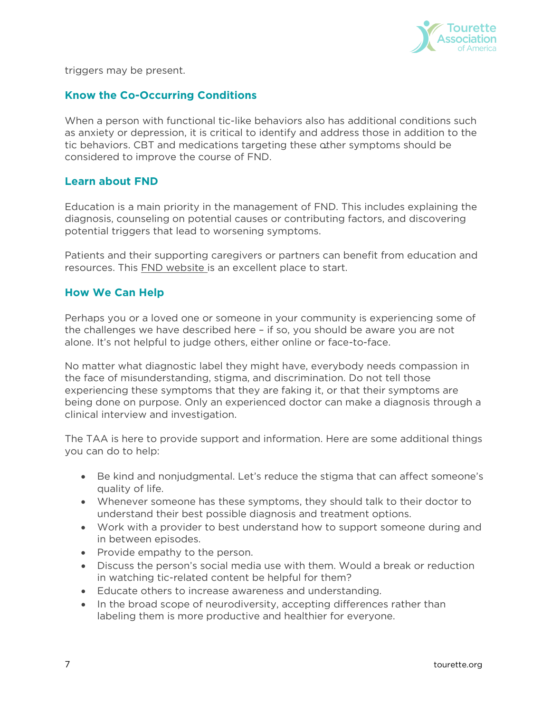

triggers may be present.

#### **Know the Co-Occurring Conditions**

When a person with functional tic-like behaviors also has additional conditions such as anxiety or depression, it is critical to identify and address those in addition to the tic behaviors. CBT and medications targeting these other symptoms should be considered to improve the course of FND.

#### **Learn about FND**

Education is a main priority in the management of FND. This includes explaining the diagnosis, counseling on potential causes or contributing factors, and discovering potential triggers that lead to worsening symptoms.

Patients and their supporting caregivers or partners can benefit from education and resources. This [FND website i](http://www.neurosymptoms.org/en_GB/symptoms/fnd-symptoms/functional-tics)s an excellent place to start.

#### **How We Can Help**

Perhaps you or a loved one or someone in your community is experiencing some of the challenges we have described here – if so, you should be aware you are not alone. It's not helpful to judge others, either online or face-to-face.

No matter what diagnostic label they might have, everybody needs compassion in the face of misunderstanding, stigma, and discrimination. Do not tell those experiencing these symptoms that they are faking it, or that their symptoms are being done on purpose. Only an experienced doctor can make a diagnosis through a clinical interview and investigation.

The TAA is here to provide support and information. Here are some additional things you can do to help:

- Be kind and nonjudgmental. Let's reduce the stigma that can affect someone's quality of life.
- Whenever someone has these symptoms, they should talk to their doctor to understand their best possible diagnosis and treatment options.
- Work with a provider to best understand how to support someone during and in between episodes.
- Provide empathy to the person.
- Discuss the person's social media use with them. Would a break or reduction in watching tic-related content be helpful for them?
- Educate others to increase awareness and understanding.
- In the broad scope of neurodiversity, accepting differences rather than labeling them is more productive and healthier for everyone.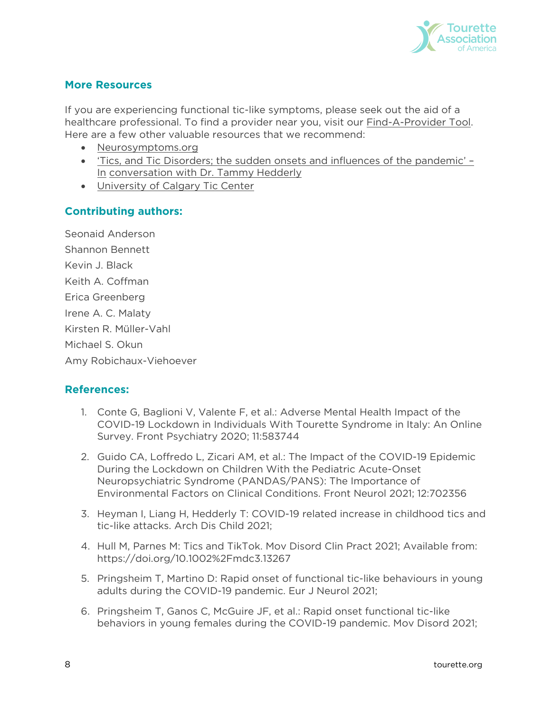

# **More Resources**

If you are experiencing functional tic-like symptoms, please seek out the aid of a healthcare professional. To find a provider near you, visit our [Find-A-Provider Tool.](https://tourette.org/find-a-provider/) Here are a few other valuable resources that we recommend:

- [Neurosymptoms.org](http://www.neurosymptoms.org/)
- ['Tics, and Tic Disorders; the sudden onsets and influences of the pandemic' –](https://www.acamh.org/podcasts/tics-and-the-pandemic/) [In](https://www.acamh.org/podcasts/tics-and-the-pandemic/) [conversation with Dr. Tammy Hedderly](https://www.acamh.org/podcasts/tics-and-the-pandemic/)
- [University of Calgary Tic Center](https://cumming.ucalgary.ca/resource/tourette-ocd/children-and-adults/disorder-specific-resources/tourette-syndrome-and-0)

#### **Contributing authors:**

Seonaid Anderson Shannon Bennett Kevin J. Black Keith A. Coffman Erica Greenberg Irene A. C. Malaty Kirsten R. Müller-Vahl Michael S. Okun Amy Robichaux-Viehoever

#### **References:**

- 1. Conte G, Baglioni V, Valente F, et al.: Adverse Mental Health Impact of the COVID-19 Lockdown in Individuals With Tourette Syndrome in Italy: An Online Survey. Front Psychiatry 2020; 11:583744
- 2. Guido CA, Loffredo L, Zicari AM, et al.: The Impact of the COVID-19 Epidemic During the Lockdown on Children With the Pediatric Acute-Onset Neuropsychiatric Syndrome (PANDAS/PANS): The Importance of Environmental Factors on Clinical Conditions. Front Neurol 2021; 12:702356
- 3. Heyman I, Liang H, Hedderly T: COVID-19 related increase in childhood tics and tic-like attacks. Arch Dis Child 2021;
- 4. Hull M, Parnes M: Tics and TikTok. Mov Disord Clin Pract 2021; Available from: <https://doi.org/10.1002%2Fmdc3.13267>
- 5. Pringsheim T, Martino D: Rapid onset of functional tic-like behaviours in young adults during the COVID-19 pandemic. Eur J Neurol 2021;
- 6. Pringsheim T, Ganos C, McGuire JF, et al.: Rapid onset functional tic-like behaviors in young females during the COVID-19 pandemic. Mov Disord 2021;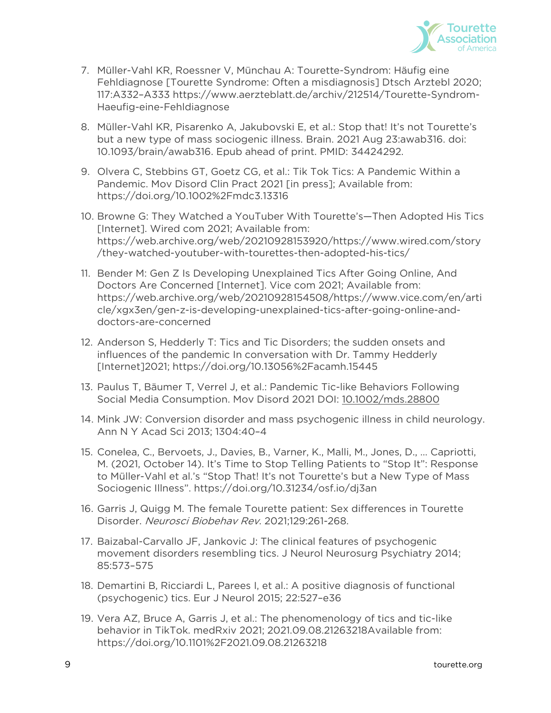

- 7. Müller-Vahl KR, Roessner V, Münchau A: Tourette-Syndrom: Häufig eine Fehldiagnose [Tourette Syndrome: Often a misdiagnosis] Dtsch Arztebl 2020; 117:A332–A333 [https://www.aerzteblatt.de/archiv/212514/Tourette-Syndrom-](https://www.aerzteblatt.de/archiv/212514/Tourette-Syndrom-Haeufig-eine-Fehldiagnose)[Haeufig-eine-Fehldiagnose](https://www.aerzteblatt.de/archiv/212514/Tourette-Syndrom-Haeufig-eine-Fehldiagnose)
- 8. Müller-Vahl KR, Pisarenko A, Jakubovski E, et al.: Stop that! It's not Tourette's but a new type of mass sociogenic illness. Brain. 2021 Aug 23:awab316. doi: 10.1093/brain/awab316. Epub ahead of print. PMID: 34424292.
- 9. Olvera C, Stebbins GT, Goetz CG, et al.: Tik Tok Tics: A Pandemic Within a Pandemic. Mov Disord Clin Pract 2021 [in press]; Available from: <https://doi.org/10.1002%2Fmdc3.13316>
- 10. Browne G: They Watched a YouTuber With Tourette's—Then Adopted His Tics [Internet]. Wired com 2021; Available from: [https://web.archive.org/web/20210928153920/https://www.wired.com/story](https://web.archive.org/web/20210928153920/https:/www.wired.com/story/they-watched-youtuber-with-tourettes-then-adopted-his-tics/) [/they-watched-youtuber-with-tourettes-then-adopted-his-tics/](https://web.archive.org/web/20210928153920/https:/www.wired.com/story/they-watched-youtuber-with-tourettes-then-adopted-his-tics/)
- 11. Bender M: Gen Z Is Developing Unexplained Tics After Going Online, And Doctors Are Concerned [Internet]. Vice com 2021; Available from: [https://web.archive.org/web/20210928154508/https://www.vice.com/en/arti](https://web.archive.org/web/20210928154508/https:/www.vice.com/en/article/xgx3en/gen-z-is-developing-unexplained-tics-after-going-online-and-doctors-are-concerned) [cle/xgx3en/gen-z-is-developing-unexplained-tics-after-going-online-and](https://web.archive.org/web/20210928154508/https:/www.vice.com/en/article/xgx3en/gen-z-is-developing-unexplained-tics-after-going-online-and-doctors-are-concerned)[doctors-are-concerned](https://web.archive.org/web/20210928154508/https:/www.vice.com/en/article/xgx3en/gen-z-is-developing-unexplained-tics-after-going-online-and-doctors-are-concerned)
- 12. Anderson S, Hedderly T: Tics and Tic Disorders; the sudden onsets and influences of the pandemic In conversation with Dr. Tammy Hedderly [Internet]2021;<https://doi.org/10.13056%2Facamh.15445>
- 13. Paulus T, Bäumer T, Verrel J, et al.: Pandemic Tic-like Behaviors Following Social Media Consumption. Mov Disord 2021 DOI: [10.1002/mds.28800](https://doi.org/10.1002/mds.28800)
- 14. Mink JW: Conversion disorder and mass psychogenic illness in child neurology. Ann N Y Acad Sci 2013; 1304:40–4
- 15. Conelea, C., Bervoets, J., Davies, B., Varner, K., Malli, M., Jones, D., … Capriotti, M. (2021, October 14). It's Time to Stop Telling Patients to "Stop It": Response to Müller-Vahl et al.'s "Stop That! It's not Tourette's but a New Type of Mass Sociogenic Illness".<https://doi.org/10.31234/osf.io/dj3an>
- 16. Garris J, Quigg M. The female Tourette patient: Sex differences in Tourette Disorder. Neurosci Biobehav Rev. 2021;129:261-268.
- 17. Baizabal-Carvallo JF, Jankovic J: The clinical features of psychogenic movement disorders resembling tics. J Neurol Neurosurg Psychiatry 2014; 85:573–575
- 18. Demartini B, Ricciardi L, Parees I, et al.: A positive diagnosis of functional (psychogenic) tics. Eur J Neurol 2015; 22:527–e36
- 19. Vera AZ, Bruce A, Garris J, et al.: The phenomenology of tics and tic-like behavior in TikTok. medRxiv 2021; 2021.09.08.21263218Available from: <https://doi.org/10.1101%2F2021.09.08.21263218>